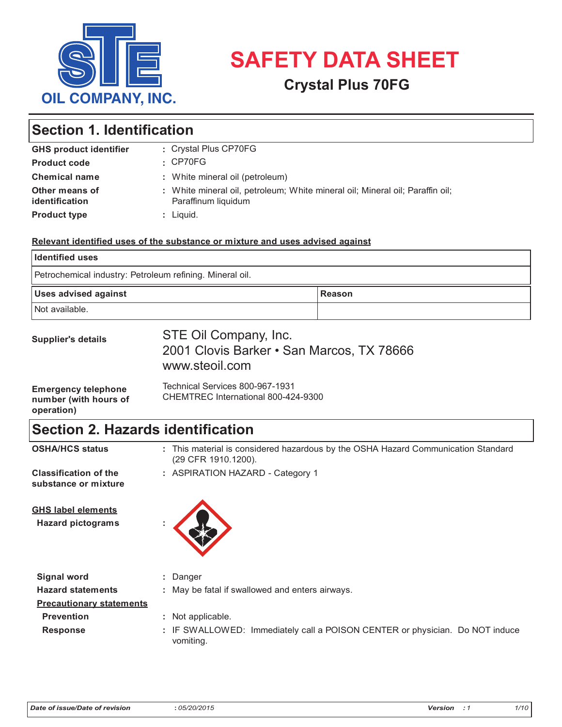

# **USHILLE BEET SAFETY DATA SHEET**

## **CRYSTAL OF THE MINERAL OILS AFTER** San Marcos, Texas 786

# Section 1. Identification  $\mathbf{r}$

| <b>GHS product identifier</b>    | : Crystal Plus CP70FG                                                                                |
|----------------------------------|------------------------------------------------------------------------------------------------------|
| <b>Product code</b>              | $\cdot$ CP70FG                                                                                       |
| <b>Chemical name</b>             | : White mineral oil (petroleum)                                                                      |
| Other means of<br>identification | : White mineral oil, petroleum; White mineral oil; Mineral oil; Paraffin oil;<br>Paraffinum liquidum |
| <b>Product type</b>              | : Liquid.                                                                                            |

Duoprime® Oil 70

#### **Supplier's details of the determined by the products Partners, L.P. Calumeter** Relevant identified uses of the substance or mixture and uses advised against Haven 1972, Ketenislaan 3 <u>Substance or mixture and uses</u>

| <b>Identified uses</b>                                   |               |
|----------------------------------------------------------|---------------|
| Petrochemical industry: Petroleum refining. Mineral oil. |               |
| <b>Uses advised against</b>                              | <b>Reason</b> |
|                                                          |               |

| <b>Supplier's details</b>                                         | STE Oil Company, Inc.<br>2001 Clovis Barker • San Marcos, TX 78666<br>www.steoil.com |
|-------------------------------------------------------------------|--------------------------------------------------------------------------------------|
| <b>Emergency telephone</b><br>number (with hours of<br>operation) | Technical Services 800-967-1931<br>CHEMTREC International 800-424-9300               |

B-9130 Kalendarus (Kieldrecht)

#### **Section 2. Hazards identification**  $\bm{B}$ -10110 Kallo (Kieldrecht) Belgium **SECTION 2. HAZARDS RIGHTHICATION** <u>(29 CFR 1910.1200).</u>

| <b>OSHA/HCS status</b>                                | : This material is considered hazardous by the OSHA Hazard Communication Standard<br>(29 CFR 1910.1200). |
|-------------------------------------------------------|----------------------------------------------------------------------------------------------------------|
| <b>Classification of the</b><br>substance or mixture  | : ASPIRATION HAZARD - Category 1                                                                         |
| <b>GHS label elements</b><br><b>Hazard pictograms</b> |                                                                                                          |
| <b>Signal word</b>                                    | : Danger                                                                                                 |
| <b>Hazard statements</b>                              | : May be fatal if swallowed and enters airways.                                                          |
| <b>Precautionary statements</b>                       |                                                                                                          |
| <b>Prevention</b>                                     | : Not applicable.                                                                                        |
| <b>Response</b>                                       | : IF SWALLOWED: Immediately call a POISON CENTER or physician. Do NOT induce<br>vomiting.                |

 $**W**$  $**W**$  $**W**$  $**W**$  $**W**$  $**W**$  $**W**$  $**W**$  $**W**$  $**W**$  $**W**$  $**W**$  $**W**$  $**W**$  $**W**$  $**W**$  $**W**$  $**W**$  $**W**$  $**W**$  $**W**$  $**W**$  $**W**$  $**W**$ 

**Hazard statements :** May be fatal if swallowed and enters airways.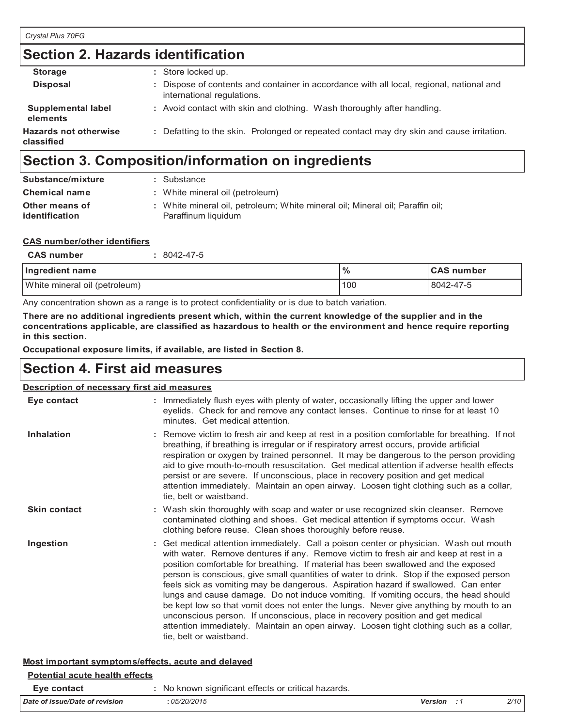| <b>Section 2. Hazards identification</b>   |                                                                                                                        |  |
|--------------------------------------------|------------------------------------------------------------------------------------------------------------------------|--|
| <b>Storage</b>                             | : Store locked up.                                                                                                     |  |
| <b>Disposal</b>                            | : Dispose of contents and container in accordance with all local, regional, national and<br>international regulations. |  |
| Supplemental label<br>elements             | : Avoid contact with skin and clothing. Wash thoroughly after handling.                                                |  |
| <b>Hazards not otherwise</b><br>classified | : Defatting to the skin. Prolonged or repeated contact may dry skin and cause irritation.                              |  |

# **Section 3. Composition/information on ingredients Section 3. Composition/information on ingredients**

| Substance/mixture    | : Substance                                                                   |
|----------------------|-------------------------------------------------------------------------------|
| <b>Chemical name</b> | : White mineral oil (petroleum)                                               |
| Other means of       | : White mineral oil, petroleum; White mineral oil; Mineral oil; Paraffin oil; |
| identification       | Paraffinum liquidum                                                           |

#### **CAS number/other identifiers CAS number/other identifiers**

| <b>CAS number</b>             | 8042-47-5 |               |                   |
|-------------------------------|-----------|---------------|-------------------|
| Ingredient name               |           | $\frac{0}{0}$ | <b>CAS number</b> |
| White mineral oil (petroleum) |           | 100           | 8042-47-5         |

Any concentration shown as a range is to protect confidentiality or is due to batch variation. Any concentration shown as a range is to protect confidentiality or is due to batch variation.

There are no additional ingredients present which, within the current knowledge of the supplier and in the concentrations applicable, are classified as hazardous to health or the environment and hence require reporting **in this section. in this section.**

**Occupational exposure limits, if available, are listed in Section 8. Occupational exposure limits, if available, are listed in Section 8.**

# **Section 4. First aid measures Section 4. First aid measures**

## **Description of necessary first aid measures Description of necessary first aid measures**

| Eye contact         | : Immediately flush eyes with plenty of water, occasionally lifting the upper and lower<br>eyelids. Check for and remove any contact lenses. Continue to rinse for at least 10<br>minutes. Get medical attention.                                                                                                                                                                                                                                                                                                                                                                                                                                                                                                                                                                                                                               |
|---------------------|-------------------------------------------------------------------------------------------------------------------------------------------------------------------------------------------------------------------------------------------------------------------------------------------------------------------------------------------------------------------------------------------------------------------------------------------------------------------------------------------------------------------------------------------------------------------------------------------------------------------------------------------------------------------------------------------------------------------------------------------------------------------------------------------------------------------------------------------------|
| <b>Inhalation</b>   | : Remove victim to fresh air and keep at rest in a position comfortable for breathing. If not<br>breathing, if breathing is irregular or if respiratory arrest occurs, provide artificial<br>respiration or oxygen by trained personnel. It may be dangerous to the person providing<br>aid to give mouth-to-mouth resuscitation. Get medical attention if adverse health effects<br>persist or are severe. If unconscious, place in recovery position and get medical<br>attention immediately. Maintain an open airway. Loosen tight clothing such as a collar,<br>tie, belt or waistband.                                                                                                                                                                                                                                                    |
| <b>Skin contact</b> | : Wash skin thoroughly with soap and water or use recognized skin cleanser. Remove<br>contaminated clothing and shoes. Get medical attention if symptoms occur. Wash<br>clothing before reuse. Clean shoes thoroughly before reuse.                                                                                                                                                                                                                                                                                                                                                                                                                                                                                                                                                                                                             |
| Ingestion           | : Get medical attention immediately. Call a poison center or physician. Wash out mouth<br>with water. Remove dentures if any. Remove victim to fresh air and keep at rest in a<br>position comfortable for breathing. If material has been swallowed and the exposed<br>person is conscious, give small quantities of water to drink. Stop if the exposed person<br>feels sick as vomiting may be dangerous. Aspiration hazard if swallowed. Can enter<br>lungs and cause damage. Do not induce vomiting. If vomiting occurs, the head should<br>be kept low so that vomit does not enter the lungs. Never give anything by mouth to an<br>unconscious person. If unconscious, place in recovery position and get medical<br>attention immediately. Maintain an open airway. Loosen tight clothing such as a collar,<br>tie, belt or waistband. |

# **Most important symptoms/effects, acute and delayed Most important symptoms/effects, acute and delayed**

## **Eye contact :** No known significant effects or critical hazards. **Eye contact :** No known significant effects or critical hazards. **Potential acute health effects Potential acute health effects**

| $-100$                         | <b>The information concernsive control index</b> to: |         |      |
|--------------------------------|------------------------------------------------------|---------|------|
| Date of issue/Date of revision | 05/20/2015                                           | Version | 2/10 |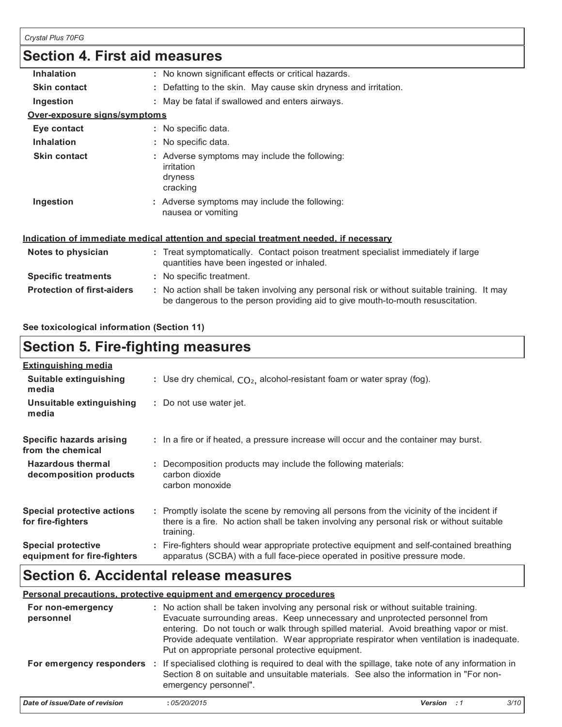|                                   | Section 4. First aid measures                                                                                                                                                 |
|-----------------------------------|-------------------------------------------------------------------------------------------------------------------------------------------------------------------------------|
| <b>Inhalation</b>                 | : No known significant effects or critical hazards.                                                                                                                           |
| <b>Skin contact</b>               | : Defatting to the skin. May cause skin dryness and irritation.                                                                                                               |
| Ingestion                         | : May be fatal if swallowed and enters airways.                                                                                                                               |
| Over-exposure signs/symptoms      |                                                                                                                                                                               |
| Eye contact                       | : No specific data.                                                                                                                                                           |
| <b>Inhalation</b>                 | : No specific data.                                                                                                                                                           |
| <b>Skin contact</b>               | : Adverse symptoms may include the following:<br>irritation<br>dryness<br>cracking                                                                                            |
| Ingestion                         | : Adverse symptoms may include the following:<br>nausea or vomiting                                                                                                           |
|                                   | <u>Indication of immediate medical attention and special treatment needed, if necessary</u>                                                                                   |
| Notes to physician                | : Treat symptomatically. Contact poison treatment specialist immediately if large<br>quantities have been ingested or inhaled.                                                |
| <b>Specific treatments</b>        | : No specific treatment.                                                                                                                                                      |
| <b>Protection of first-aiders</b> | : No action shall be taken involving any personal risk or without suitable training. It may<br>be dangerous to the person providing aid to give mouth-to-mouth resuscitation. |

## **See toxicological information (Section 11)**

#### **Section 5. Fire-fighting measures Section 5. Fighting measures Extinguishing media**

| : Use dry chemical, $CO2$ , alcohol-resistant foam or water spray (fog).                                                                                                                            |
|-----------------------------------------------------------------------------------------------------------------------------------------------------------------------------------------------------|
| : Do not use water jet.                                                                                                                                                                             |
| : In a fire or if heated, a pressure increase will occur and the container may burst.                                                                                                               |
| : Decomposition products may include the following materials:<br>carbon dioxide<br>carbon monoxide                                                                                                  |
| : Promptly isolate the scene by removing all persons from the vicinity of the incident if<br>there is a fire. No action shall be taken involving any personal risk or without suitable<br>training. |
| : Fire-fighters should wear appropriate protective equipment and self-contained breathing<br>apparatus (SCBA) with a full face-piece operated in positive pressure mode.                            |
|                                                                                                                                                                                                     |

# **Section 6. Accidental release measures**

#### **Personal precautions, protective equipment and emergency procedures :** No action shall be taken involving any personal risk or without suitable training. **For non-emergency**  <u>ersonal pi</u>

|                                | Personal precautions, protective equipment and emergency procedures                                                                                                                                                                                                                                                                                                                                              |                |      |
|--------------------------------|------------------------------------------------------------------------------------------------------------------------------------------------------------------------------------------------------------------------------------------------------------------------------------------------------------------------------------------------------------------------------------------------------------------|----------------|------|
| For non-emergency<br>personnel | : No action shall be taken involving any personal risk or without suitable training.<br>Evacuate surrounding areas. Keep unnecessary and unprotected personnel from<br>entering. Do not touch or walk through spilled material. Avoid breathing vapor or mist.<br>Provide adequate ventilation. Wear appropriate respirator when ventilation is inadequate.<br>Put on appropriate personal protective equipment. |                |      |
|                                | For emergency responders : If specialised clothing is required to deal with the spillage, take note of any information in<br>Section 8 on suitable and unsuitable materials. See also the information in "For non-<br>emergency personnel".                                                                                                                                                                      |                |      |
| Date of issue/Date of revision | :05/20/2015                                                                                                                                                                                                                                                                                                                                                                                                      | <b>Version</b> | 3/10 |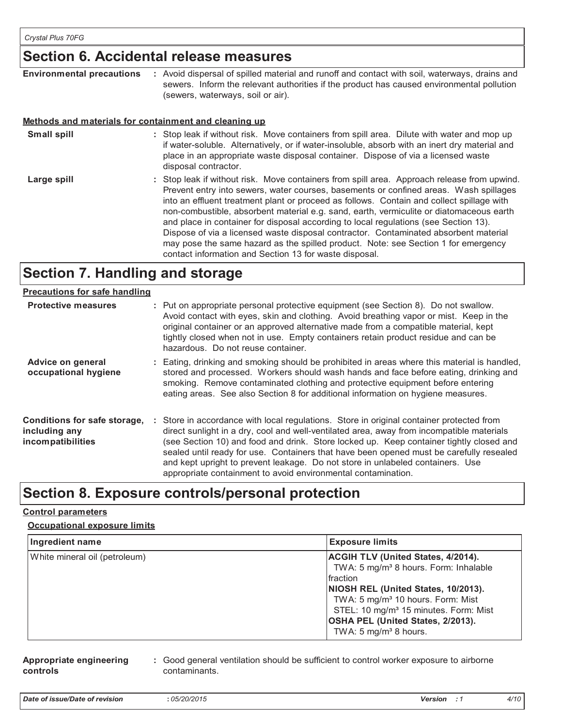# **Section 6. Accidental release measures Section 6. Accidental release measures**

| <b>Environmental precautions</b> | : Avoid dispersal of spilled material and runoff and contact with soil, waterways, drains and |
|----------------------------------|-----------------------------------------------------------------------------------------------|
|                                  | sewers. Inform the relevant authorities if the product has caused environmental pollution     |
|                                  | (sewers, waterways, soil or air).                                                             |

# **Methods and materials for containment and cleaning up Methods and materials for containment and cleaning up**

| <b>Small spill</b> | : Stop leak if without risk. Move containers from spill area. Dilute with water and mop up<br>if water-soluble. Alternatively, or if water-insoluble, absorb with an inert dry material and<br>place in an appropriate waste disposal container. Dispose of via a licensed waste |
|--------------------|----------------------------------------------------------------------------------------------------------------------------------------------------------------------------------------------------------------------------------------------------------------------------------|
|                    | disposal contractor.                                                                                                                                                                                                                                                             |
| l argo snill       | • Stop leak if without risk Move containers from spill area. Approach release from unwind                                                                                                                                                                                        |

Stop leak if without risk. Move containers from spill area. Approach release from upwind. Prevent entry into sewers, water courses, basements or confined areas. Wash spillages into an effluent treatment plant or proceed as follows. Contain and collect spillage with non-combustible, absorbent material e.g. sand, earth, vermiculite or diatomaceous earth and place in container for disposal according to local regulations (see Section 13). Dispose of via a licensed waste disposal contractor. Contaminated absorbent material may pose the same hazard as the spilled product. Note: see Section 1 for emergency contact information and Section 13 for waste disposal. **Large spill :**

#### **Section 7. Handling and storage Section 7. Handling and storage and storage and storage and storage and storage and storage and storage and storage Precautions for safe handling**

| <b>Precautions for safe handling</b>                               |                                                                                                                                                                                                                                                                                                                                                                                                                                                                                                                                |
|--------------------------------------------------------------------|--------------------------------------------------------------------------------------------------------------------------------------------------------------------------------------------------------------------------------------------------------------------------------------------------------------------------------------------------------------------------------------------------------------------------------------------------------------------------------------------------------------------------------|
| <b>Protective measures</b>                                         | : Put on appropriate personal protective equipment (see Section 8). Do not swallow.<br>Avoid contact with eyes, skin and clothing. Avoid breathing vapor or mist. Keep in the<br>original container or an approved alternative made from a compatible material, kept<br>tightly closed when not in use. Empty containers retain product residue and can be<br>hazardous. Do not reuse container.                                                                                                                               |
| Advice on general<br>occupational hygiene                          | : Eating, drinking and smoking should be prohibited in areas where this material is handled,<br>stored and processed. Workers should wash hands and face before eating, drinking and<br>smoking. Remove contaminated clothing and protective equipment before entering<br>eating areas. See also Section 8 for additional information on hygiene measures.                                                                                                                                                                     |
| Conditions for safe storage,<br>including any<br>incompatibilities | : Store in accordance with local regulations. Store in original container protected from<br>direct sunlight in a dry, cool and well-ventilated area, away from incompatible materials<br>(see Section 10) and food and drink. Store locked up. Keep container tightly closed and<br>sealed until ready for use. Containers that have been opened must be carefully resealed<br>and kept upright to prevent leakage. Do not store in unlabeled containers. Use<br>appropriate containment to avoid environmental contamination. |

# **Section 8. Exposure controls/personal protection Control parameters**

#### **Control parameters Occupational exposure limits**

# **Occupational exposure limits Ingredient name Exposure limits**

| Ingredient name               | <b>Exposure limits</b>                                                                                                                                                                                                                                                                                                            |
|-------------------------------|-----------------------------------------------------------------------------------------------------------------------------------------------------------------------------------------------------------------------------------------------------------------------------------------------------------------------------------|
| White mineral oil (petroleum) | <b>ACGIH TLV (United States, 4/2014).</b><br>TWA: 5 mg/m <sup>3</sup> 8 hours. Form: Inhalable<br>fraction<br>NIOSH REL (United States, 10/2013).<br>TWA: 5 mg/m <sup>3</sup> 10 hours. Form: Mist<br>STEL: 10 mg/m <sup>3</sup> 15 minutes. Form: Mist<br>OSHA PEL (United States, 2/2013).<br>TWA: 5 mg/m <sup>3</sup> 8 hours. |

#### **Appropriate engineering controls**

**:** Good general ventilation should be sufficient to control worker exposure to airborne contaminants.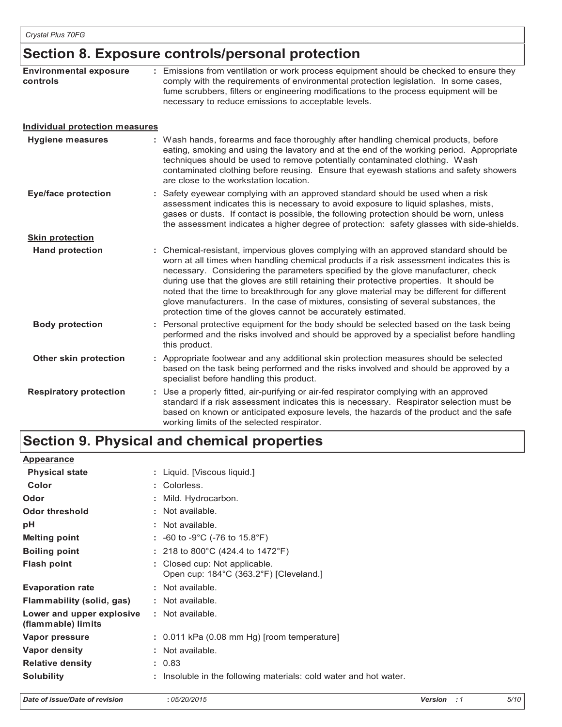# **Section 8. Exposure controls/personal protection**

| <b>Environmental exposure</b><br>controls | : Emissions from ventilation or work process equipment should be checked to ensure they<br>comply with the requirements of environmental protection legislation. In some cases,<br>fume scrubbers, filters or engineering modifications to the process equipment will be<br>necessary to reduce emissions to acceptable levels.                                                                                                                                                                                                                                                                                        |  |
|-------------------------------------------|------------------------------------------------------------------------------------------------------------------------------------------------------------------------------------------------------------------------------------------------------------------------------------------------------------------------------------------------------------------------------------------------------------------------------------------------------------------------------------------------------------------------------------------------------------------------------------------------------------------------|--|
| <b>Individual protection measures</b>     |                                                                                                                                                                                                                                                                                                                                                                                                                                                                                                                                                                                                                        |  |
| <b>Hygiene measures</b>                   | : Wash hands, forearms and face thoroughly after handling chemical products, before<br>eating, smoking and using the lavatory and at the end of the working period. Appropriate<br>techniques should be used to remove potentially contaminated clothing. Wash<br>contaminated clothing before reusing. Ensure that eyewash stations and safety showers<br>are close to the workstation location.                                                                                                                                                                                                                      |  |
| <b>Eye/face protection</b>                | : Safety eyewear complying with an approved standard should be used when a risk<br>assessment indicates this is necessary to avoid exposure to liquid splashes, mists,<br>gases or dusts. If contact is possible, the following protection should be worn, unless<br>the assessment indicates a higher degree of protection: safety glasses with side-shields.                                                                                                                                                                                                                                                         |  |
| <b>Skin protection</b>                    |                                                                                                                                                                                                                                                                                                                                                                                                                                                                                                                                                                                                                        |  |
| <b>Hand protection</b>                    | : Chemical-resistant, impervious gloves complying with an approved standard should be<br>worn at all times when handling chemical products if a risk assessment indicates this is<br>necessary. Considering the parameters specified by the glove manufacturer, check<br>during use that the gloves are still retaining their protective properties. It should be<br>noted that the time to breakthrough for any glove material may be different for different<br>glove manufacturers. In the case of mixtures, consisting of several substances, the<br>protection time of the gloves cannot be accurately estimated. |  |
| <b>Body protection</b>                    | : Personal protective equipment for the body should be selected based on the task being<br>performed and the risks involved and should be approved by a specialist before handling<br>this product.                                                                                                                                                                                                                                                                                                                                                                                                                    |  |
| Other skin protection                     | : Appropriate footwear and any additional skin protection measures should be selected<br>based on the task being performed and the risks involved and should be approved by a<br>specialist before handling this product.                                                                                                                                                                                                                                                                                                                                                                                              |  |
| <b>Respiratory protection</b>             | : Use a properly fitted, air-purifying or air-fed respirator complying with an approved<br>standard if a risk assessment indicates this is necessary. Respirator selection must be<br>based on known or anticipated exposure levels, the hazards of the product and the safe<br>working limits of the selected respirator.                                                                                                                                                                                                                                                                                             |  |

# **Section 9. Physical and chemical properties**

| <b>Appearance</b>                               |   |                                                                         |
|-------------------------------------------------|---|-------------------------------------------------------------------------|
| <b>Physical state</b>                           |   | : Liquid. [Viscous liquid.]                                             |
| Color                                           |   | : Colorless.                                                            |
| Odor                                            |   | : Mild. Hydrocarbon.                                                    |
| <b>Odor threshold</b>                           |   | : Not available.                                                        |
| рH                                              |   | : Not available.                                                        |
| <b>Melting point</b>                            |   | : $-60$ to $-9^{\circ}$ C ( $-76$ to 15.8 $^{\circ}$ F)                 |
| <b>Boiling point</b>                            |   | : 218 to 800°C (424.4 to 1472°F)                                        |
| <b>Flash point</b>                              |   | : Closed cup: Not applicable.<br>Open cup: 184°C (363.2°F) [Cleveland.] |
| <b>Evaporation rate</b>                         |   | : Not available.                                                        |
| Flammability (solid, gas)                       |   | : Not available.                                                        |
| Lower and upper explosive<br>(flammable) limits |   | : Not available.                                                        |
| Vapor pressure                                  |   | $: 0.011$ kPa (0.08 mm Hg) [room temperature]                           |
| Vapor density                                   |   | : Not available.                                                        |
| <b>Relative density</b>                         |   | : 0.83                                                                  |
| <b>Solubility</b>                               | ٠ | Insoluble in the following materials: cold water and hot water.         |

*Date of issue/Date of revision* **:** *05/20/2015 Version : 1 5/10*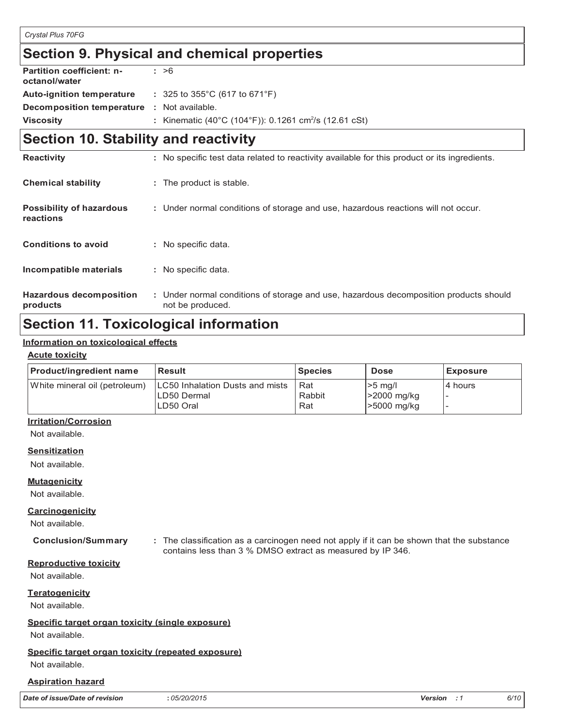# **Section 9. Physical and chemical properties**

| <b>Partition coefficient: n-</b><br>octanol/water | : >6                                                              |
|---------------------------------------------------|-------------------------------------------------------------------|
| <b>Auto-ignition temperature</b>                  | $: 325$ to $355^{\circ}$ C (617 to 671 $^{\circ}$ F)              |
| <b>Decomposition temperature : Not available.</b> |                                                                   |
| <b>Viscosity</b>                                  | : Kinematic (40°C (104°F)): 0.1261 cm <sup>2</sup> /s (12.61 cSt) |

# **Section 10. Stability and reactivity**

| <b>Reactivity</b>                            | : No specific test data related to reactivity available for this product or its ingredients.              |
|----------------------------------------------|-----------------------------------------------------------------------------------------------------------|
| <b>Chemical stability</b>                    | : The product is stable.                                                                                  |
| <b>Possibility of hazardous</b><br>reactions | : Under normal conditions of storage and use, hazardous reactions will not occur.                         |
| <b>Conditions to avoid</b>                   | : No specific data.                                                                                       |
| Incompatible materials                       | : No specific data.                                                                                       |
| <b>Hazardous decomposition</b><br>products   | : Under normal conditions of storage and use, hazardous decomposition products should<br>not be produced. |

# **Section 11. Toxicological information**

#### **Information on toxicological effects**

#### **Acute toxicity**

| <b>Product/ingredient name</b> | <b>Result</b>                   | <b>Species</b> | <b>Dose</b> | <b>Exposure</b> |
|--------------------------------|---------------------------------|----------------|-------------|-----------------|
| White mineral oil (petroleum)  | LC50 Inhalation Dusts and mists | Rat            | $>5$ mg/l   | I4 hours        |
|                                | ILD50 Dermal                    | Rabbit         | >2000 mg/kg |                 |
|                                | LD50 Oral                       | Rat            | >5000 mg/kg |                 |

#### **Irritation/Corrosion**

Not available.

#### **Sensitization**

Not available.

#### **Mutagenicity**

Not available.

#### **Carcinogenicity**

Not available.

**Conclusion/Summary :** The classification as a carcinogen need not apply if it can be shown that the substance contains less than 3 % DMSO extract as measured by IP 346.

#### **Reproductive toxicity**

Not available.

#### **Teratogenicity**

Not available.

#### **Specific target organ toxicity (single exposure)**

Not available.

#### **Specific target organ toxicity (repeated exposure)**

#### Not available.

#### **Aspiration hazard**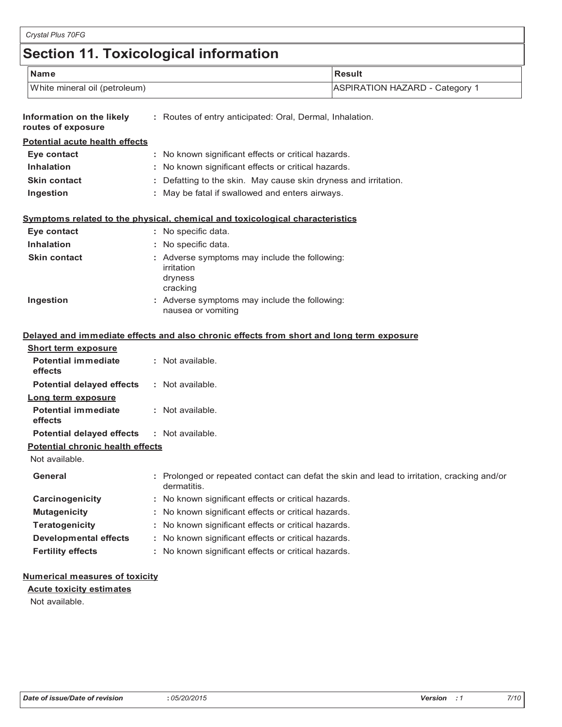# **Section 11. Toxicological information**

| <b>Name</b>                                                         | <b>Result</b>                                                                                             |  |  |  |  |
|---------------------------------------------------------------------|-----------------------------------------------------------------------------------------------------------|--|--|--|--|
| White mineral oil (petroleum)                                       | <b>ASPIRATION HAZARD - Category 1</b>                                                                     |  |  |  |  |
| Information on the likely<br>routes of exposure                     | : Routes of entry anticipated: Oral, Dermal, Inhalation.                                                  |  |  |  |  |
| <b>Potential acute health effects</b>                               |                                                                                                           |  |  |  |  |
| Eye contact                                                         | : No known significant effects or critical hazards.                                                       |  |  |  |  |
| <b>Inhalation</b>                                                   | : No known significant effects or critical hazards.                                                       |  |  |  |  |
| <b>Skin contact</b>                                                 | : Defatting to the skin. May cause skin dryness and irritation.                                           |  |  |  |  |
| Ingestion                                                           | : May be fatal if swallowed and enters airways.                                                           |  |  |  |  |
|                                                                     | Symptoms related to the physical, chemical and toxicological characteristics                              |  |  |  |  |
| Eye contact                                                         | : No specific data.                                                                                       |  |  |  |  |
| <b>Inhalation</b>                                                   | : No specific data.                                                                                       |  |  |  |  |
| Skin contact                                                        | : Adverse symptoms may include the following:<br>irritation<br>dryness<br>cracking                        |  |  |  |  |
|                                                                     |                                                                                                           |  |  |  |  |
| Ingestion                                                           | : Adverse symptoms may include the following:<br>nausea or vomiting                                       |  |  |  |  |
|                                                                     | Delayed and immediate effects and also chronic effects from short and long term exposure                  |  |  |  |  |
| <b>Short term exposure</b><br><b>Potential immediate</b><br>effects | : Not available.                                                                                          |  |  |  |  |
| <b>Potential delayed effects</b>                                    | : Not available.                                                                                          |  |  |  |  |
| Long term exposure<br><b>Potential immediate</b><br>effects         | : Not available.                                                                                          |  |  |  |  |
| <b>Potential delayed effects</b>                                    | : Not available.                                                                                          |  |  |  |  |
| <b>Potential chronic health effects</b><br>Not available.           |                                                                                                           |  |  |  |  |
| General                                                             | : Prolonged or repeated contact can defat the skin and lead to irritation, cracking and/or<br>dermatitis. |  |  |  |  |
| Carcinogenicity                                                     | : No known significant effects or critical hazards.                                                       |  |  |  |  |
| <b>Mutagenicity</b>                                                 | : No known significant effects or critical hazards.                                                       |  |  |  |  |
| Teratogenicity                                                      | : No known significant effects or critical hazards.                                                       |  |  |  |  |
| <b>Developmental effects</b>                                        | : No known significant effects or critical hazards.                                                       |  |  |  |  |

## **Numerical measures of toxicity**

**Acute toxicity estimates**

Not available.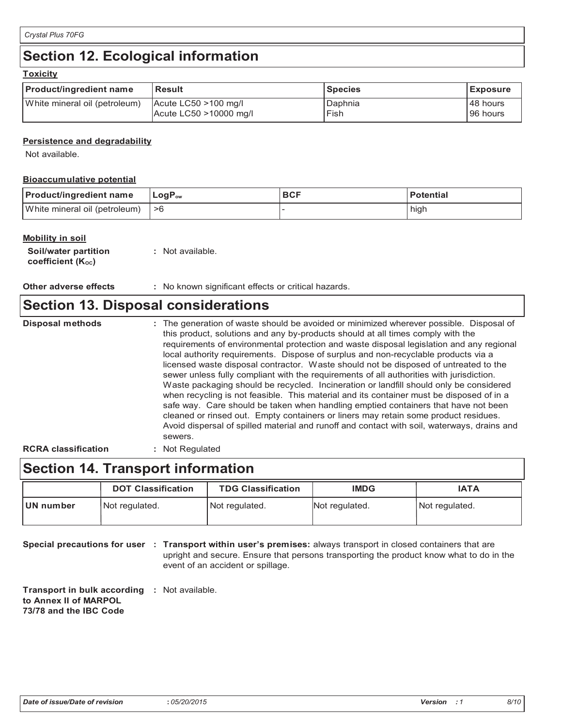# **Section 12. Ecological information**

| <b>Product/ingredient name</b> | <b>Result</b>                                      | <b>Species</b>  | <b>Exposure</b>      |  |  |  |  |
|--------------------------------|----------------------------------------------------|-----------------|----------------------|--|--|--|--|
| White mineral oil (petroleum)  | $ $ Acute LC50 >100 mg/l<br>Acute LC50 >10000 mg/l | Daphnia<br>Fish | 48 hours<br>96 hours |  |  |  |  |

### **Persistence and degradability**

Not available.

### **Bioaccumulative potential**

| <b>Product/ingredient name</b> | LogP <sub>ow</sub> | <b>BCF</b> | Potential |
|--------------------------------|--------------------|------------|-----------|
| White mineral oil (petroleum)  | ՝ >6               |            | high      |

#### **Mobility in soil**

| <b>Soil/water partition</b>    | : Not available. |
|--------------------------------|------------------|
| coefficient (K <sub>oc</sub> ) |                  |

**Other adverse effects** : No known significant effects or critical hazards.

# **Section 13. Disposal considerations**

The generation of waste should be avoided or minimized wherever possible. Disposal of this product, solutions and any by-products should at all times comply with the requirements of environmental protection and waste disposal legislation and any regional local authority requirements. Dispose of surplus and non-recyclable products via a licensed waste disposal contractor. Waste should not be disposed of untreated to the sewer unless fully compliant with the requirements of all authorities with jurisdiction. Waste packaging should be recycled. Incineration or landfill should only be considered when recycling is not feasible. This material and its container must be disposed of in a safe way. Care should be taken when handling emptied containers that have not been cleaned or rinsed out. Empty containers or liners may retain some product residues. Avoid dispersal of spilled material and runoff and contact with soil, waterways, drains and sewers. **Disposal methods :**

**RCRA classification :** Not Regulated

# **Section 14. Transport information**

|                             | <b>DOT Classification</b> | <b>TDG Classification</b> | <b>IMDG</b>    | <b>IATA</b>    |
|-----------------------------|---------------------------|---------------------------|----------------|----------------|
| UN number<br>Not regulated. |                           | Not regulated.            | Not regulated. | Not regulated. |

**Special precautions for user : Transport within user's premises: always transport in closed containers that are** upright and secure. Ensure that persons transporting the product know what to do in the event of an accident or spillage.

**Transport in bulk according :** Not available. **to Annex II of MARPOL 73/78 and the IBC Code**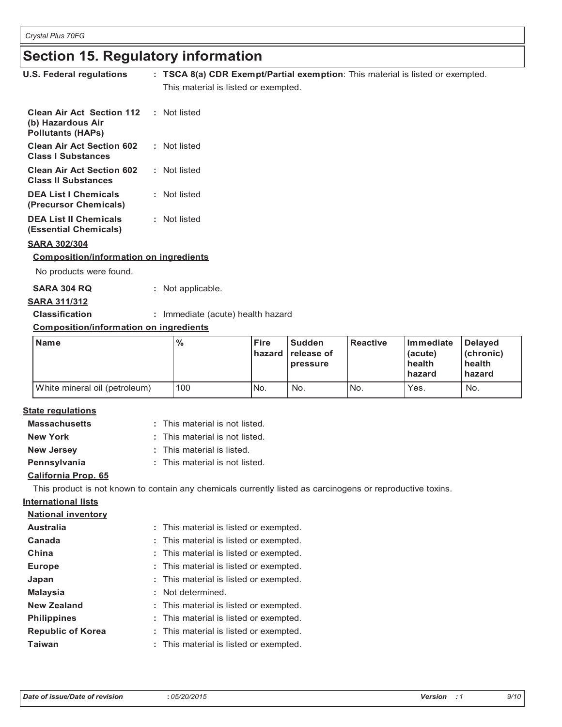# **Section 15. Regulatory information Section 15. Regulatory information**

| U.S. Federal regulations                                                          | : TSCA 8(a) CDR Exempt/Partial exemption: This material is listed or exempted.<br>This material is listed or exempted. |
|-----------------------------------------------------------------------------------|------------------------------------------------------------------------------------------------------------------------|
|                                                                                   |                                                                                                                        |
| <b>Clean Air Act Section 112</b><br>(b) Hazardous Air<br><b>Pollutants (HAPs)</b> | : Not listed                                                                                                           |
| <b>Clean Air Act Section 602</b><br><b>Class I Substances</b>                     | : Not listed                                                                                                           |
| <b>Clean Air Act Section 602</b><br><b>Class II Substances</b>                    | : Not listed                                                                                                           |
| <b>DEA List I Chemicals</b><br>(Precursor Chemicals)                              | : Not listed                                                                                                           |
| <b>DEA List II Chemicals</b><br>(Essential Chemicals)                             | : Not listed                                                                                                           |
| <b>SARA 302/304</b>                                                               |                                                                                                                        |
| <b>Composition/information on ingredients</b>                                     |                                                                                                                        |
| No products were found.                                                           |                                                                                                                        |

| <b>SARA 304 RQ</b> | : Not applicable. |
|--------------------|-------------------|
|                    |                   |

# **SARA 311/312 SARA 311/312**

**Classification :** Immediate (acute) health hazard **Classification :** Immediate (acute) health hazard

## **Composition/information on ingredients Composition/information on ingredients**

| <b>Name</b>                   | $\%$ | <b>Fire</b><br>hazard | <b>Sudden</b><br>release of<br>pressure | <b>Reactive</b> | Immediate<br>(acute)<br>health<br><b>hazard</b> | Delayed<br>(chronic)<br>health<br>hazard |
|-------------------------------|------|-----------------------|-----------------------------------------|-----------------|-------------------------------------------------|------------------------------------------|
| White mineral oil (petroleum) | 100  | No.                   | No.                                     | No.             | Yes.                                            | No.                                      |

# **State regulations State regulations**

| <b>Massachusetts</b> | : This material is not listed. |
|----------------------|--------------------------------|
| <b>New York</b>      | : This material is not listed. |
| <b>New Jersey</b>    | : This material is listed.     |
| Pennsylvania         | : This material is not listed. |

# **California Prop. 65 California Prop. 65**

This product is not known to contain any chemicals currently listed as carcinogens or reproductive toxins. This product is not known to contain any chemicals currently listed as carcinogens or reproductive toxins.

# **International lists International lists**

| <b>National inventory</b> |                                        |
|---------------------------|----------------------------------------|
| <b>Australia</b>          | : This material is listed or exempted. |
| Canada                    | : This material is listed or exempted. |
| China                     | : This material is listed or exempted. |
| <b>Europe</b>             | : This material is listed or exempted. |
| Japan                     | : This material is listed or exempted. |
| <b>Malaysia</b>           | : Not determined.                      |
| <b>New Zealand</b>        | : This material is listed or exempted. |
| <b>Philippines</b>        | : This material is listed or exempted. |
| <b>Republic of Korea</b>  | : This material is listed or exempted. |
| <b>Taiwan</b>             | : This material is listed or exempted. |